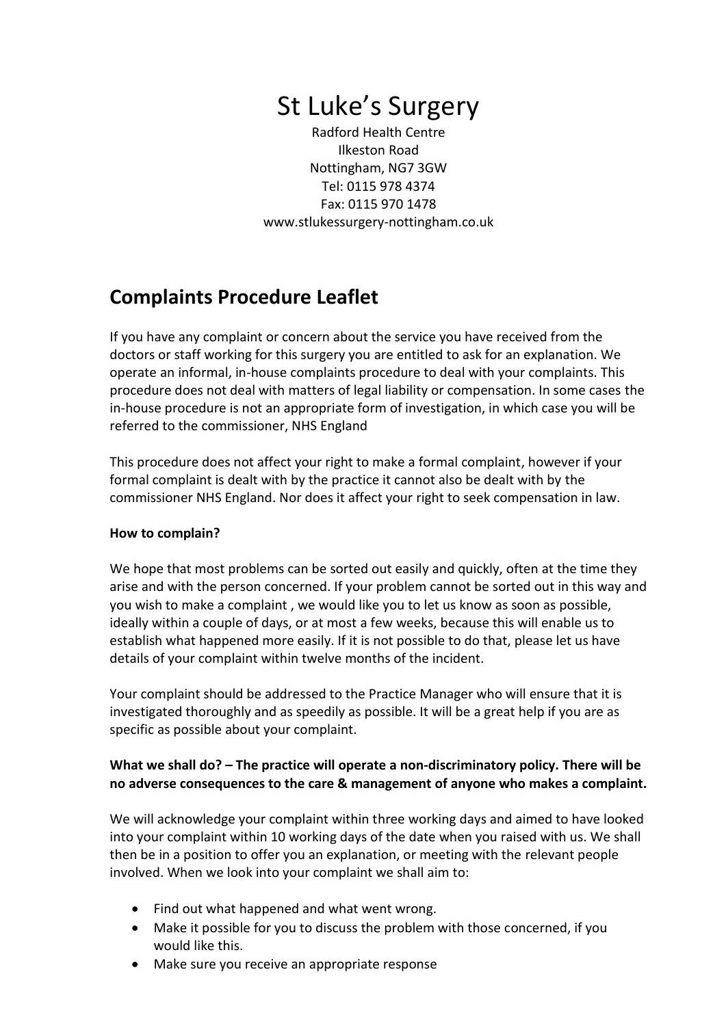# St Luke's Surgery

Radford Health Centre Ilkeston Road Nottingham, NG7 3GW Tel: 0115 978 4374 Fax: 0115 970 1478 www.stlukessurgery-nottingham.co.uk

# **Complaints Procedure Leaflet**

If you have any complaint or concern about the service you have received from the doctors or staff working for this surgery you are entitled to ask for an explanation. We operate an informal, in-house complaints procedure to deal with your complaints. This procedure does not deal with matters of legal liability or compensation. In some cases the in-house procedure is not an appropriate form of investigation, in which case you will be referred to the commissioner, NHS England

This procedure does not affect your right to make a formal complaint, however if your formal complaint is dealt with by the practice it cannot also be dealt with by the commissioner NHS England. Nor does it affect your right to seek compensation in law.

## **How to complain?**

We hope that most problems can be sorted out easily and quickly, often at the time they arise and with the person concerned. If your problem cannot be sorted out in this way and you wish to make a complaint , we would like you to let us know as soon as possible, ideally within a couple of days, or at most a few weeks, because this will enable us to establish what happened more easily. If it is not possible to do that, please let us have details of your complaint within twelve months of the incident.

Your complaint should be addressed to the Practice Manager who will ensure that it is investigated thoroughly and as speedily as possible. It will be a great help if you are as specific as possible about your complaint.

## **What we shall do? – The practice will operate a non-discriminatory policy. There will be no adverse consequences to the care & management of anyone who makes a complaint.**

We will acknowledge your complaint within three working days and aimed to have looked into your complaint within 10 working days of the date when you raised with us. We shall then be in a position to offer you an explanation, or meeting with the relevant people involved. When we look into your complaint we shall aim to:

- Find out what happened and what went wrong.
- Make it possible for you to discuss the problem with those concerned, if you would like this.
- Make sure you receive an appropriate response